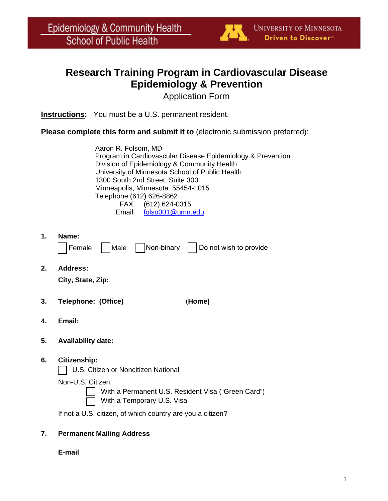

## **Research Training Program in Cardiovascular Disease Epidemiology & Prevention**

Application Form

**Instructions:** You must be a U.S. permanent resident.

**Please complete this form and submit it to** (electronic submission preferred):

Aaron R. Folsom, MD Program in Cardiovascular Disease Epidemiology & Prevention Division of Epidemiology & Community Health University of Minnesota School of Public Health 1300 South 2nd Street, Suite 300 Minneapolis, Minnesota 55454-1015 Telephone:(612) 626-8862 FAX: (612) 624-0315 Email: folso001@umn.edu

**1. Name:**

|  | Female | $ $ Male | Non-binary |  | Do not wish to provide |
|--|--------|----------|------------|--|------------------------|
|--|--------|----------|------------|--|------------------------|

**2. Address:**

**City, State, Zip:**

- **3. Telephone: (Office)** (**Home)**
- **4. Email:**
- **5. Availability date:**
- **6. Citizenship:**

| | U.S. Citizen or Noncitizen National

Non-U.S. Citizen

With a Permanent U.S. Resident Visa ("Green Card")

With a Temporary U.S. Visa

If not a U.S. citizen, of which country are you a citizen?

## **7. Permanent Mailing Address**

**E-mail**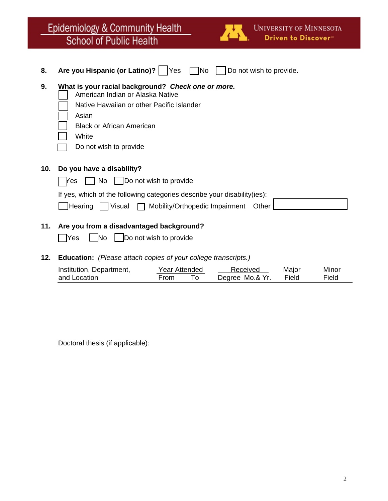|            | Epidemiology & Community Health<br><b>UNIVERSITY OF MINNESOTA</b><br>Driven to Discover"<br><b>School of Public Health</b>                                                                                                                                                                              |
|------------|---------------------------------------------------------------------------------------------------------------------------------------------------------------------------------------------------------------------------------------------------------------------------------------------------------|
| 8.         | Are you Hispanic (or Latino)?  <br> Yes <br><b>No</b><br>Do not wish to provide.                                                                                                                                                                                                                        |
| 9.         | What is your racial background? Check one or more.<br>American Indian or Alaska Native<br>Native Hawaiian or other Pacific Islander<br>Asian<br><b>Black or African American</b><br>White<br>Do not wish to provide                                                                                     |
| 10.<br>11. | Do you have a disability?<br>Do not wish to provide<br>No<br>Ƙes<br>If yes, which of the following categories describe your disability (ies):<br>Mobility/Orthopedic Impairment<br>Visual<br><b>Hearing</b><br>Other<br>Are you from a disadvantaged background?<br>Do not wish to provide<br>Yes<br>N٥ |

**12. Education:** *(Please attach copies of your college transcripts.)*

| Institution, Department, | Year Attended | Received        | Major | Minor |
|--------------------------|---------------|-----------------|-------|-------|
| and Location             | From          | Degree Mo.& Yr. | Field | Field |

Doctoral thesis (if applicable):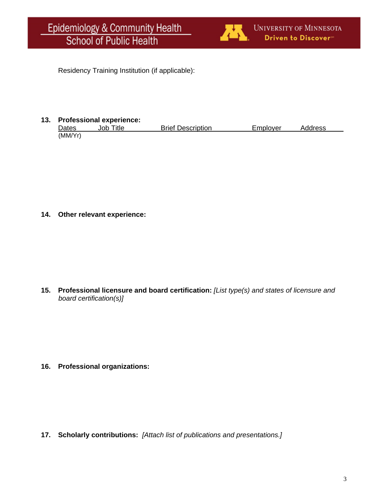

Residency Training Institution (if applicable):

## **13. Professional experience:**

| Dates   | Title<br>Job ī | <b>Brief Description</b> | Emplover | Address |
|---------|----------------|--------------------------|----------|---------|
| (MM/Yr) |                |                          |          |         |

**14. Other relevant experience:**

**15. Professional licensure and board certification:** *[List type(s) and states of licensure and board certification(s)]*

**16. Professional organizations:**

**17. Scholarly contributions:** *[Attach list of publications and presentations.]*